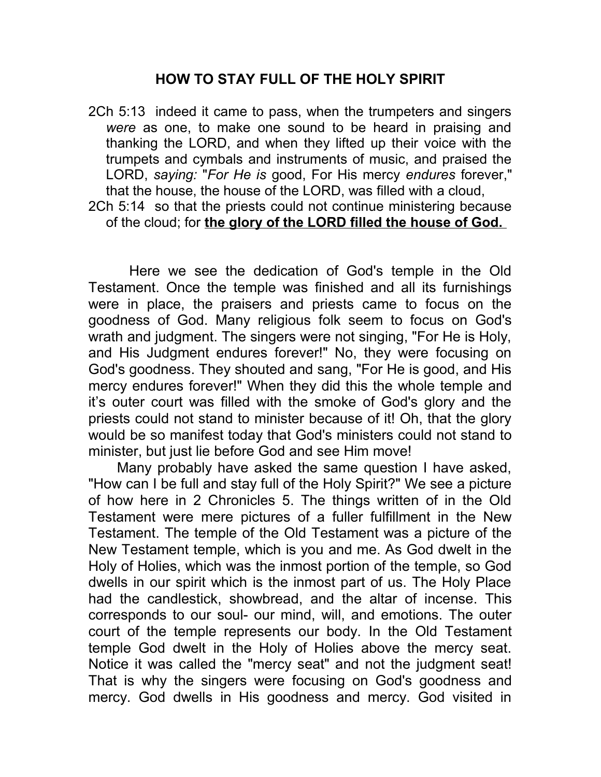## **HOW TO STAY FULL OF THE HOLY SPIRIT**

2Ch 5:13 indeed it came to pass, when the trumpeters and singers *were* as one, to make one sound to be heard in praising and thanking the LORD, and when they lifted up their voice with the trumpets and cymbals and instruments of music, and praised the LORD, *saying:* "*For He is* good, For His mercy *endures* forever," that the house, the house of the LORD, was filled with a cloud, 2Ch 5:14 so that the priests could not continue ministering because

of the cloud; for **the glory of the LORD filled the house of God.** 

 Here we see the dedication of God's temple in the Old Testament. Once the temple was finished and all its furnishings were in place, the praisers and priests came to focus on the goodness of God. Many religious folk seem to focus on God's wrath and judgment. The singers were not singing, "For He is Holy, and His Judgment endures forever!" No, they were focusing on God's goodness. They shouted and sang, "For He is good, and His mercy endures forever!" When they did this the whole temple and it's outer court was filled with the smoke of God's glory and the priests could not stand to minister because of it! Oh, that the glory would be so manifest today that God's ministers could not stand to minister, but just lie before God and see Him move!

 Many probably have asked the same question I have asked, "How can I be full and stay full of the Holy Spirit?" We see a picture of how here in 2 Chronicles 5. The things written of in the Old Testament were mere pictures of a fuller fulfillment in the New Testament. The temple of the Old Testament was a picture of the New Testament temple, which is you and me. As God dwelt in the Holy of Holies, which was the inmost portion of the temple, so God dwells in our spirit which is the inmost part of us. The Holy Place had the candlestick, showbread, and the altar of incense. This corresponds to our soul- our mind, will, and emotions. The outer court of the temple represents our body. In the Old Testament temple God dwelt in the Holy of Holies above the mercy seat. Notice it was called the "mercy seat" and not the judgment seat! That is why the singers were focusing on God's goodness and mercy. God dwells in His goodness and mercy. God visited in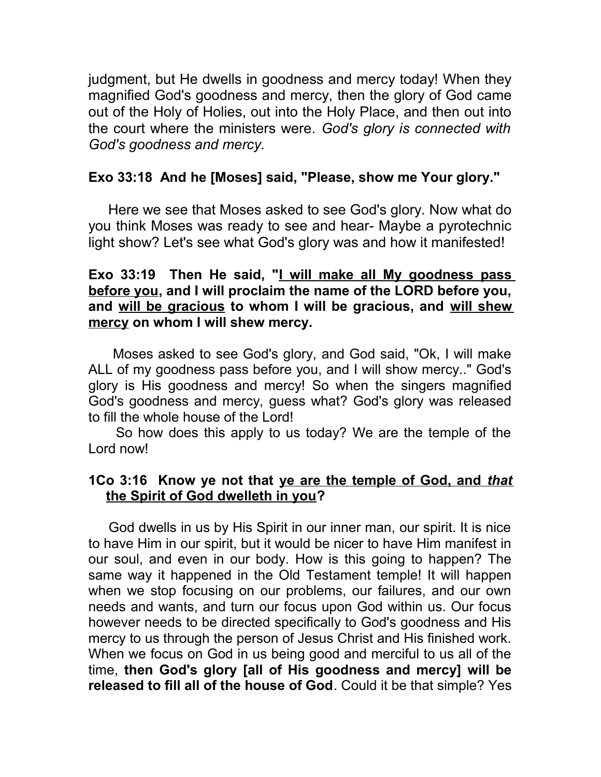judgment, but He dwells in goodness and mercy today! When they magnified God's goodness and mercy, then the glory of God came out of the Holy of Holies, out into the Holy Place, and then out into the court where the ministers were. *God's glory is connected with God's goodness and mercy.*

## **Exo 33:18 And he [Moses] said, "Please, show me Your glory."**

 Here we see that Moses asked to see God's glory. Now what do you think Moses was ready to see and hear- Maybe a pyrotechnic light show? Let's see what God's glory was and how it manifested!

## **Exo 33:19 Then He said, "I will make all My goodness pass before you, and I will proclaim the name of the LORD before you, and will be gracious to whom I will be gracious, and will shew mercy on whom I will shew mercy.**

 Moses asked to see God's glory, and God said, "Ok, I will make ALL of my goodness pass before you, and I will show mercy.." God's glory is His goodness and mercy! So when the singers magnified God's goodness and mercy, guess what? God's glory was released to fill the whole house of the Lord!

 So how does this apply to us today? We are the temple of the Lord now!

## **1Co 3:16 Know ye not that ye are the temple of God, and** *that* **the Spirit of God dwelleth in you?**

 God dwells in us by His Spirit in our inner man, our spirit. It is nice to have Him in our spirit, but it would be nicer to have Him manifest in our soul, and even in our body. How is this going to happen? The same way it happened in the Old Testament temple! It will happen when we stop focusing on our problems, our failures, and our own needs and wants, and turn our focus upon God within us. Our focus however needs to be directed specifically to God's goodness and His mercy to us through the person of Jesus Christ and His finished work. When we focus on God in us being good and merciful to us all of the time, **then God's glory [all of His goodness and mercy] will be released to fill all of the house of God**. Could it be that simple? Yes